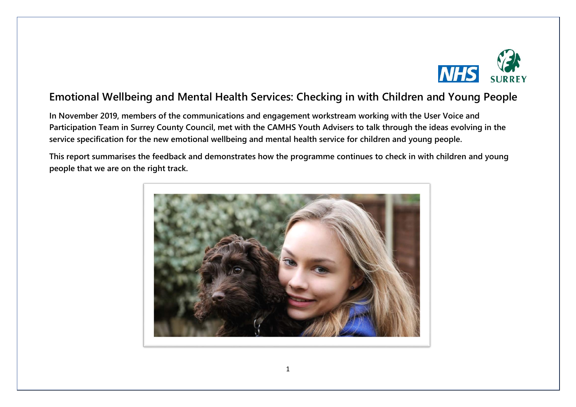

# **Emotional Wellbeing and Mental Health Services: Checking in with Children and Young People**

**In November 2019, members of the communications and engagement workstream working with the User Voice and Participation Team in Surrey County Council, met with the CAMHS Youth Advisers to talk through the ideas evolving in the service specification for the new emotional wellbeing and mental health service for children and young people.**

**This report summarises the feedback and demonstrates how the programme continues to check in with children and young people that we are on the right track.**

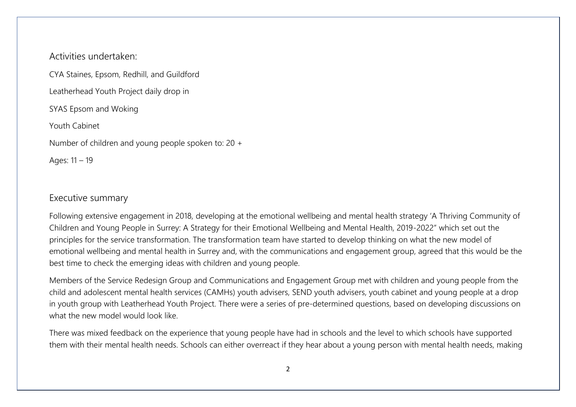Activities undertaken:

CYA Staines, Epsom, Redhill, and Guildford

Leatherhead Youth Project daily drop in

SYAS Epsom and Woking

Youth Cabinet

Number of children and young people spoken to: 20 +

Ages: 11 – 19

#### Executive summary

Following extensive engagement in 2018, developing at the emotional wellbeing and mental health strategy 'A Thriving Community of Children and Young People in Surrey: A Strategy for their Emotional Wellbeing and Mental Health, 2019-2022" which set out the principles for the service transformation. The transformation team have started to develop thinking on what the new model of emotional wellbeing and mental health in Surrey and, with the communications and engagement group, agreed that this would be the best time to check the emerging ideas with children and young people.

Members of the Service Redesign Group and Communications and Engagement Group met with children and young people from the child and adolescent mental health services (CAMHs) youth advisers, SEND youth advisers, youth cabinet and young people at a drop in youth group with Leatherhead Youth Project. There were a series of pre-determined questions, based on developing discussions on what the new model would look like.

There was mixed feedback on the experience that young people have had in schools and the level to which schools have supported them with their mental health needs. Schools can either overreact if they hear about a young person with mental health needs, making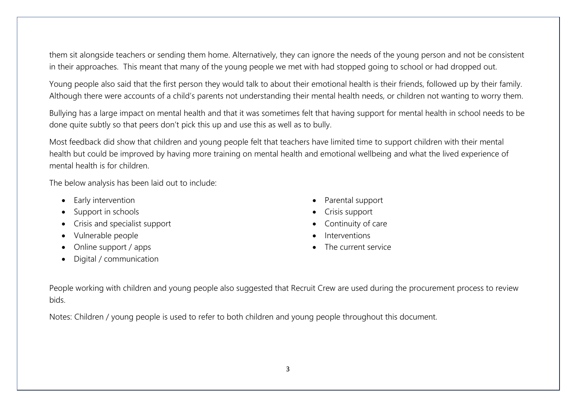them sit alongside teachers or sending them home. Alternatively, they can ignore the needs of the young person and not be consistent in their approaches. This meant that many of the young people we met with had stopped going to school or had dropped out.

Young people also said that the first person they would talk to about their emotional health is their friends, followed up by their family. Although there were accounts of a child's parents not understanding their mental health needs, or children not wanting to worry them.

Bullying has a large impact on mental health and that it was sometimes felt that having support for mental health in school needs to be done quite subtly so that peers don't pick this up and use this as well as to bully.

Most feedback did show that children and young people felt that teachers have limited time to support children with their mental health but could be improved by having more training on mental health and emotional wellbeing and what the lived experience of mental health is for children.

The below analysis has been laid out to include:

- Early intervention
- Support in schools
- Crisis and specialist support
- Vulnerable people
- Online support / apps
- Digital / communication
- Parental support
- Crisis support
- Continuity of care
- Interventions
- The current service

People working with children and young people also suggested that Recruit Crew are used during the procurement process to review bids.

Notes: Children / young people is used to refer to both children and young people throughout this document.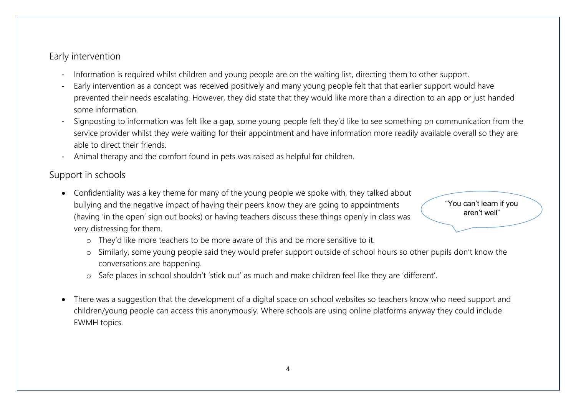# Early intervention

- Information is required whilst children and young people are on the waiting list, directing them to other support.
- Early intervention as a concept was received positively and many young people felt that that earlier support would have prevented their needs escalating. However, they did state that they would like more than a direction to an app or just handed some information.
- Signposting to information was felt like a gap, some young people felt they'd like to see something on communication from the service provider whilst they were waiting for their appointment and have information more readily available overall so they are able to direct their friends.
- Animal therapy and the comfort found in pets was raised as helpful for children.

# Support in schools

 Confidentiality was a key theme for many of the young people we spoke with, they talked about bullying and the negative impact of having their peers know they are going to appointments (having 'in the open' sign out books) or having teachers discuss these things openly in class was very distressing for them.

"You can't learn if you aren't well"

- o They'd like more teachers to be more aware of this and be more sensitive to it.
- o Similarly, some young people said they would prefer support outside of school hours so other pupils don't know the conversations are happening.
- o Safe places in school shouldn't 'stick out' as much and make children feel like they are 'different'.
- There was a suggestion that the development of a digital space on school websites so teachers know who need support and children/young people can access this anonymously. Where schools are using online platforms anyway they could include EWMH topics.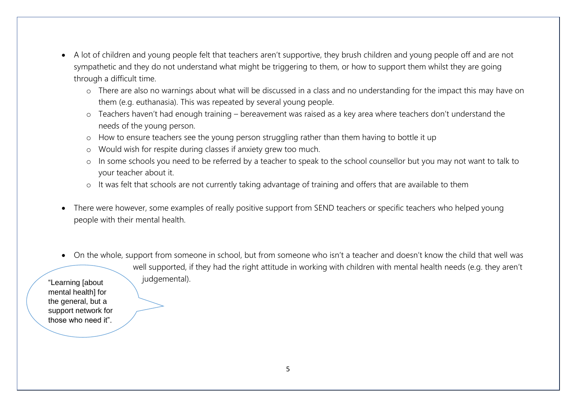- A lot of children and young people felt that teachers aren't supportive, they brush children and young people off and are not sympathetic and they do not understand what might be triggering to them, or how to support them whilst they are going through a difficult time.
	- o There are also no warnings about what will be discussed in a class and no understanding for the impact this may have on them (e.g. euthanasia). This was repeated by several young people.
	- o Teachers haven't had enough training bereavement was raised as a key area where teachers don't understand the needs of the young person.
	- o How to ensure teachers see the young person struggling rather than them having to bottle it up
	- o Would wish for respite during classes if anxiety grew too much.
	- o In some schools you need to be referred by a teacher to speak to the school counsellor but you may not want to talk to your teacher about it.
	- o It was felt that schools are not currently taking advantage of training and offers that are available to them
- There were however, some examples of really positive support from SEND teachers or specific teachers who helped young people with their mental health.
- On the whole, support from someone in school, but from someone who isn't a teacher and doesn't know the child that well was well supported, if they had the right attitude in working with children with mental health needs (e.g. they aren't judgemental). "Learning [about

mental health] for the general, but a support network for those who need it".

5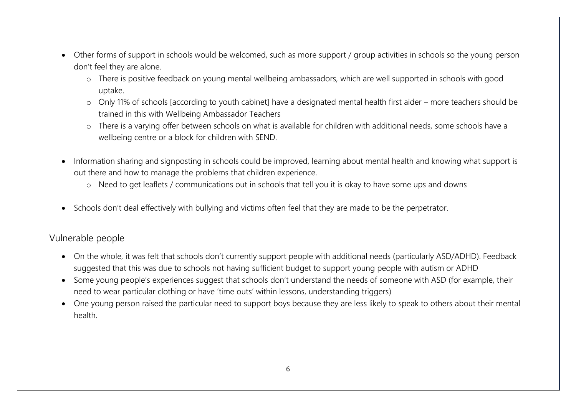- Other forms of support in schools would be welcomed, such as more support / group activities in schools so the young person don't feel they are alone.
	- o There is positive feedback on young mental wellbeing ambassadors, which are well supported in schools with good uptake.
	- o Only 11% of schools [according to youth cabinet] have a designated mental health first aider more teachers should be trained in this with Wellbeing Ambassador Teachers
	- o There is a varying offer between schools on what is available for children with additional needs, some schools have a wellbeing centre or a block for children with SEND.
- Information sharing and signposting in schools could be improved, learning about mental health and knowing what support is out there and how to manage the problems that children experience.
	- o Need to get leaflets / communications out in schools that tell you it is okay to have some ups and downs
- Schools don't deal effectively with bullying and victims often feel that they are made to be the perpetrator.

#### Vulnerable people

- On the whole, it was felt that schools don't currently support people with additional needs (particularly ASD/ADHD). Feedback suggested that this was due to schools not having sufficient budget to support young people with autism or ADHD
- Some young people's experiences suggest that schools don't understand the needs of someone with ASD (for example, their need to wear particular clothing or have 'time outs' within lessons, understanding triggers)
- One young person raised the particular need to support boys because they are less likely to speak to others about their mental health.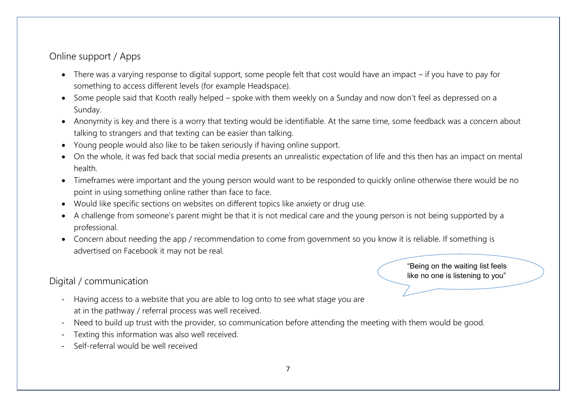### Online support / Apps

- There was a varying response to digital support, some people felt that cost would have an impact if you have to pay for something to access different levels (for example Headspace).
- Some people said that Kooth really helped spoke with them weekly on a Sunday and now don't feel as depressed on a Sunday.
- Anonymity is key and there is a worry that texting would be identifiable. At the same time, some feedback was a concern about talking to strangers and that texting can be easier than talking.
- Young people would also like to be taken seriously if having online support.
- On the whole, it was fed back that social media presents an unrealistic expectation of life and this then has an impact on mental health.
- Timeframes were important and the young person would want to be responded to quickly online otherwise there would be no point in using something online rather than face to face.
- Would like specific sections on websites on different topics like anxiety or drug use.
- A challenge from someone's parent might be that it is not medical care and the young person is not being supported by a professional.
- Concern about needing the app / recommendation to come from government so you know it is reliable. If something is advertised on Facebook it may not be real.

# Digital / communication

- Having access to a website that you are able to log onto to see what stage you are at in the pathway / referral process was well received.
- Need to build up trust with the provider, so communication before attending the meeting with them would be good.
- Texting this information was also well received.
- Self-referral would be well received

"Being on the waiting list feels like no one is listening to you"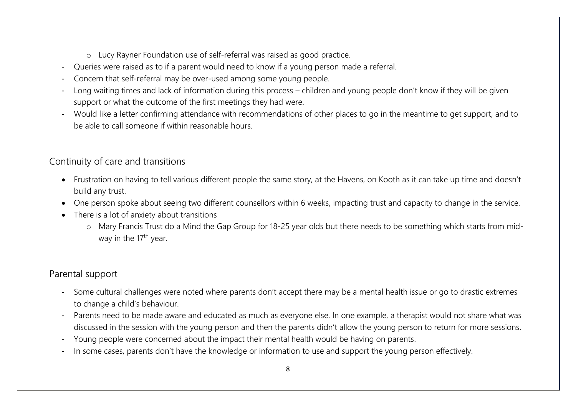- o Lucy Rayner Foundation use of self-referral was raised as good practice.
- Queries were raised as to if a parent would need to know if a young person made a referral.
- Concern that self-referral may be over-used among some young people.
- Long waiting times and lack of information during this process children and young people don't know if they will be given support or what the outcome of the first meetings they had were.
- Would like a letter confirming attendance with recommendations of other places to go in the meantime to get support, and to be able to call someone if within reasonable hours.

### Continuity of care and transitions

- Frustration on having to tell various different people the same story, at the Havens, on Kooth as it can take up time and doesn't build any trust.
- One person spoke about seeing two different counsellors within 6 weeks, impacting trust and capacity to change in the service.
- There is a lot of anxiety about transitions
	- o Mary Francis Trust do a Mind the Gap Group for 18-25 year olds but there needs to be something which starts from midway in the 17<sup>th</sup> year.

# Parental support

- Some cultural challenges were noted where parents don't accept there may be a mental health issue or go to drastic extremes to change a child's behaviour.
- Parents need to be made aware and educated as much as everyone else. In one example, a therapist would not share what was discussed in the session with the young person and then the parents didn't allow the young person to return for more sessions.
- Young people were concerned about the impact their mental health would be having on parents.
- In some cases, parents don't have the knowledge or information to use and support the young person effectively.